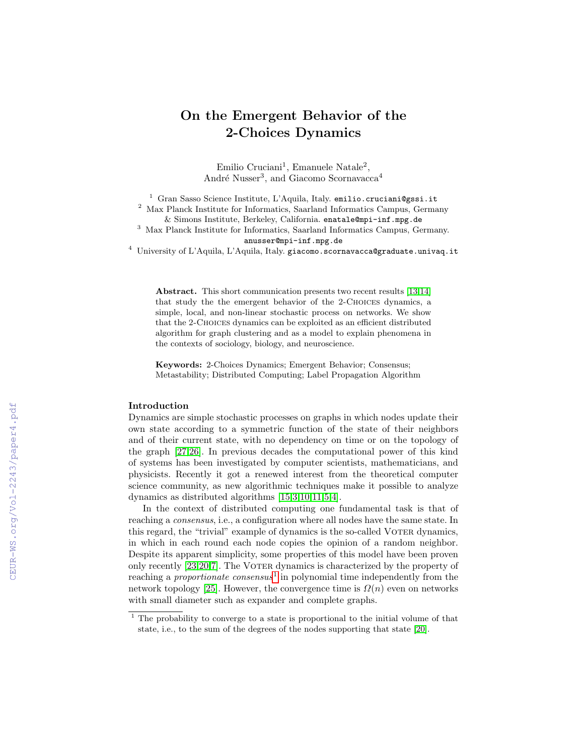# On the Emergent Behavior of the 2-Choices Dynamics

Emilio Cruciani<sup>1</sup>, Emanuele Natale<sup>2</sup>, André Nusser<sup>3</sup>, and Giacomo Scornavacca<sup>4</sup>

<sup>1</sup> Gran Sasso Science Institute, L'Aquila, Italy. emilio.cruciani@gssi.it

 $^2\,$  Max Planck Institute for Informatics, Saarland Informatics Campus, Germany

& Simons Institute, Berkeley, California. enatale@mpi-inf.mpg.de

<sup>3</sup> Max Planck Institute for Informatics, Saarland Informatics Campus, Germany. anusser@mpi-inf.mpg.de

 $^4\,$ University of L'Aquila, L'Aquila, Italy. giacomo.scornavacca@graduate.univaq.it

Abstract. This short communication presents two recent results [\[13](#page--1-0)[,14\]](#page--1-1) that study the the emergent behavior of the 2-Choices dynamics, a simple, local, and non-linear stochastic process on networks. We show that the 2-Choices dynamics can be exploited as an efficient distributed algorithm for graph clustering and as a model to explain phenomena in the contexts of sociology, biology, and neuroscience.

Keywords: 2-Choices Dynamics; Emergent Behavior; Consensus; Metastability; Distributed Computing; Label Propagation Algorithm

### Introduction

Dynamics are simple stochastic processes on graphs in which nodes update their own state according to a symmetric function of the state of their neighbors and of their current state, with no dependency on time or on the topology of the graph [\[27](#page--1-2)[,26\]](#page--1-3). In previous decades the computational power of this kind of systems has been investigated by computer scientists, mathematicians, and physicists. Recently it got a renewed interest from the theoretical computer science community, as new algorithmic techniques make it possible to analyze dynamics as distributed algorithms [\[15,](#page--1-4)[3,](#page--1-5)[10,](#page--1-6)[11](#page--1-7)[,5,](#page--1-8)[4\]](#page--1-9).

In the context of distributed computing one fundamental task is that of reaching a consensus, i.e., a configuration where all nodes have the same state. In this regard, the "trivial" example of dynamics is the so-called Voter dynamics, in which in each round each node copies the opinion of a random neighbor. Despite its apparent simplicity, some properties of this model have been proven only recently [\[23,](#page--1-10)[20](#page--1-11)[,7\]](#page--1-12). The Voter dynamics is characterized by the property of reaching a *proportionate consensus*<sup>[1](#page-0-0)</sup> in polynomial time independently from the network topology [\[25\]](#page--1-13). However, the convergence time is  $\Omega(n)$  even on networks with small diameter such as expander and complete graphs.

<span id="page-0-0"></span><sup>1</sup> The probability to converge to a state is proportional to the initial volume of that state, i.e., to the sum of the degrees of the nodes supporting that state [\[20\]](#page--1-11).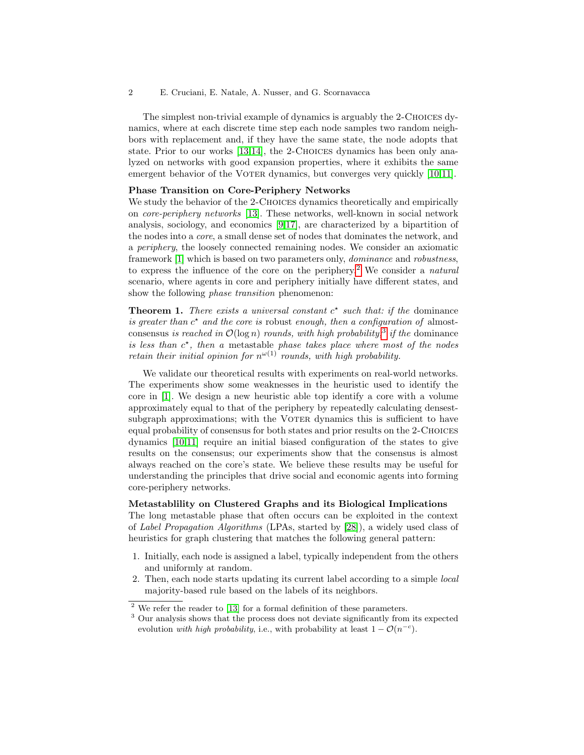#### 2 E. Cruciani, E. Natale, A. Nusser, and G. Scornavacca

The simplest non-trivial example of dynamics is arguably the 2-Choices dynamics, where at each discrete time step each node samples two random neighbors with replacement and, if they have the same state, the node adopts that state. Prior to our works [\[13,](#page-4-0)[14\]](#page-4-1), the 2-CHOICES dynamics has been only analyzed on networks with good expansion properties, where it exhibits the same emergent behavior of the VOTER dynamics, but converges very quickly [\[10](#page-4-2)[,11\]](#page-4-3).

#### Phase Transition on Core-Periphery Networks

We study the behavior of the 2-CHOICES dynamics theoretically and empirically on core-periphery networks [\[13\]](#page-4-0). These networks, well-known in social network analysis, sociology, and economics [\[9,](#page-3-0)[17\]](#page-4-4), are characterized by a bipartition of the nodes into a core, a small dense set of nodes that dominates the network, and a periphery, the loosely connected remaining nodes. We consider an axiomatic framework [\[1\]](#page-3-1) which is based on two parameters only, dominance and robustness, to express the influence of the core on the periphery.<sup>[2](#page-1-0)</sup> We consider a *natural* scenario, where agents in core and periphery initially have different states, and show the following *phase transition* phenomenon:

**Theorem 1.** There exists a universal constant  $c^*$  such that: if the dominance is greater than  $c^*$  and the core is robust enough, then a configuration of almostconsensus is reached in  $\mathcal{O}(\log n)$  rounds, with high probability,<sup>[3](#page-1-1)</sup> if the dominance is less than  $c^*$ , then a metastable phase takes place where most of the nodes retain their initial opinion for  $n^{\omega(1)}$  rounds, with high probability.

We validate our theoretical results with experiments on real-world networks. The experiments show some weaknesses in the heuristic used to identify the core in [\[1\]](#page-3-1). We design a new heuristic able top identify a core with a volume approximately equal to that of the periphery by repeatedly calculating densestsubgraph approximations; with the VOTER dynamics this is sufficient to have equal probability of consensus for both states and prior results on the 2-Choices dynamics [\[10,](#page-4-2)[11\]](#page-4-3) require an initial biased configuration of the states to give results on the consensus; our experiments show that the consensus is almost always reached on the core's state. We believe these results may be useful for understanding the principles that drive social and economic agents into forming core-periphery networks.

## Metastablility on Clustered Graphs and its Biological Implications

The long metastable phase that often occurs can be exploited in the context of Label Propagation Algorithms (LPAs, started by [\[28\]](#page-4-5)), a widely used class of heuristics for graph clustering that matches the following general pattern:

- 1. Initially, each node is assigned a label, typically independent from the others and uniformly at random.
- 2. Then, each node starts updating its current label according to a simple local majority-based rule based on the labels of its neighbors.

<span id="page-1-0"></span> $2$  We refer the reader to [\[13\]](#page-4-0) for a formal definition of these parameters.

<span id="page-1-1"></span><sup>&</sup>lt;sup>3</sup> Our analysis shows that the process does not deviate significantly from its expected evolution *with high probability*, i.e., with probability at least  $1 - \mathcal{O}(n^{-c})$ .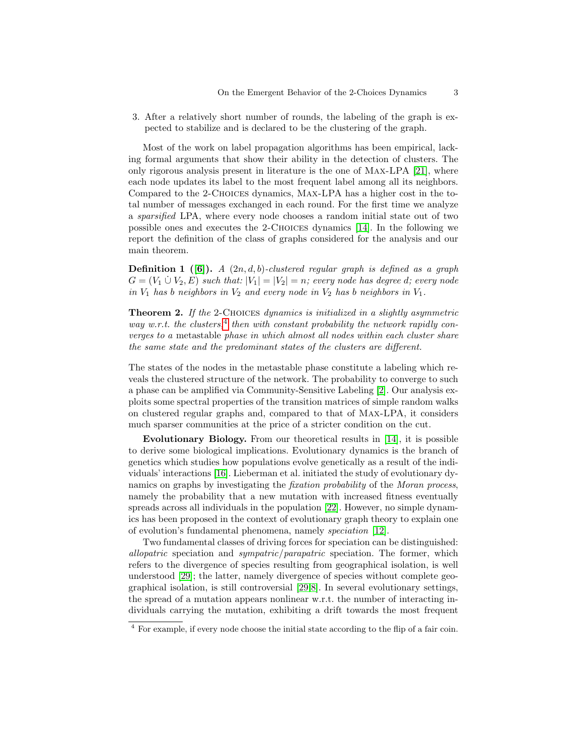3. After a relatively short number of rounds, the labeling of the graph is expected to stabilize and is declared to be the clustering of the graph.

Most of the work on label propagation algorithms has been empirical, lacking formal arguments that show their ability in the detection of clusters. The only rigorous analysis present in literature is the one of Max-LPA [\[21\]](#page-4-6), where each node updates its label to the most frequent label among all its neighbors. Compared to the 2-Choices dynamics, Max-LPA has a higher cost in the total number of messages exchanged in each round. For the first time we analyze a sparsified LPA, where every node chooses a random initial state out of two possible ones and executes the 2-Choices dynamics [\[14\]](#page-4-1). In the following we report the definition of the class of graphs considered for the analysis and our main theorem.

**Definition 1** ([\[6\]](#page-3-2)). A  $(2n, d, b)$ -clustered regular graph is defined as a graph  $G = (V_1 \cup V_2, E)$  such that:  $|V_1| = |V_2| = n$ ; every node has degree d; every node in  $V_1$  has b neighbors in  $V_2$  and every node in  $V_2$  has b neighbors in  $V_1$ .

Theorem 2. If the 2-CHOICES dynamics is initialized in a slightly asymmetric way w.r.t. the clusters,  $4$  then with constant probability the network rapidly converges to a metastable phase in which almost all nodes within each cluster share the same state and the predominant states of the clusters are different.

The states of the nodes in the metastable phase constitute a labeling which reveals the clustered structure of the network. The probability to converge to such a phase can be amplified via Community-Sensitive Labeling [\[2\]](#page-3-3). Our analysis exploits some spectral properties of the transition matrices of simple random walks on clustered regular graphs and, compared to that of Max-LPA, it considers much sparser communities at the price of a stricter condition on the cut.

Evolutionary Biology. From our theoretical results in [\[14\]](#page-4-1), it is possible to derive some biological implications. Evolutionary dynamics is the branch of genetics which studies how populations evolve genetically as a result of the individuals' interactions [\[16\]](#page-4-7). Lieberman et al. initiated the study of evolutionary dynamics on graphs by investigating the fixation probability of the Moran process, namely the probability that a new mutation with increased fitness eventually spreads across all individuals in the population [\[22\]](#page-4-8). However, no simple dynamics has been proposed in the context of evolutionary graph theory to explain one of evolution's fundamental phenomena, namely speciation [\[12\]](#page-4-9).

Two fundamental classes of driving forces for speciation can be distinguished: allopatric speciation and sympatric/parapatric speciation. The former, which refers to the divergence of species resulting from geographical isolation, is well understood [\[29\]](#page-4-10); the latter, namely divergence of species without complete geographical isolation, is still controversial [\[29](#page-4-10)[,8\]](#page-3-4). In several evolutionary settings, the spread of a mutation appears nonlinear w.r.t. the number of interacting individuals carrying the mutation, exhibiting a drift towards the most frequent

<span id="page-2-0"></span><sup>4</sup> For example, if every node choose the initial state according to the flip of a fair coin.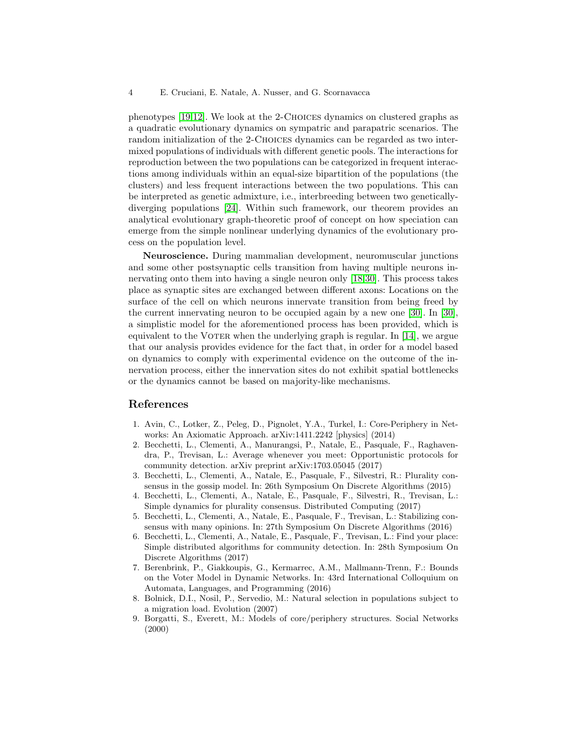phenotypes [\[19,](#page-4-11)[12\]](#page-4-9). We look at the 2-Choices dynamics on clustered graphs as a quadratic evolutionary dynamics on sympatric and parapatric scenarios. The random initialization of the 2-CHOICES dynamics can be regarded as two intermixed populations of individuals with different genetic pools. The interactions for reproduction between the two populations can be categorized in frequent interactions among individuals within an equal-size bipartition of the populations (the clusters) and less frequent interactions between the two populations. This can be interpreted as genetic admixture, i.e., interbreeding between two geneticallydiverging populations [\[24\]](#page-4-12). Within such framework, our theorem provides an analytical evolutionary graph-theoretic proof of concept on how speciation can emerge from the simple nonlinear underlying dynamics of the evolutionary process on the population level.

Neuroscience. During mammalian development, neuromuscular junctions and some other postsynaptic cells transition from having multiple neurons innervating onto them into having a single neuron only [\[18,](#page-4-13)[30\]](#page-4-14). This process takes place as synaptic sites are exchanged between different axons: Locations on the surface of the cell on which neurons innervate transition from being freed by the current innervating neuron to be occupied again by a new one [\[30\]](#page-4-14). In [\[30\]](#page-4-14), a simplistic model for the aforementioned process has been provided, which is equivalent to the VOTER when the underlying graph is regular. In  $[14]$ , we argue that our analysis provides evidence for the fact that, in order for a model based on dynamics to comply with experimental evidence on the outcome of the innervation process, either the innervation sites do not exhibit spatial bottlenecks or the dynamics cannot be based on majority-like mechanisms.

# References

- <span id="page-3-1"></span>1. Avin, C., Lotker, Z., Peleg, D., Pignolet, Y.A., Turkel, I.: Core-Periphery in Networks: An Axiomatic Approach. arXiv:1411.2242 [physics] (2014)
- <span id="page-3-3"></span>2. Becchetti, L., Clementi, A., Manurangsi, P., Natale, E., Pasquale, F., Raghavendra, P., Trevisan, L.: Average whenever you meet: Opportunistic protocols for community detection. arXiv preprint arXiv:1703.05045 (2017)
- 3. Becchetti, L., Clementi, A., Natale, E., Pasquale, F., Silvestri, R.: Plurality consensus in the gossip model. In: 26th Symposium On Discrete Algorithms (2015)
- 4. Becchetti, L., Clementi, A., Natale, E., Pasquale, F., Silvestri, R., Trevisan, L.: Simple dynamics for plurality consensus. Distributed Computing (2017)
- 5. Becchetti, L., Clementi, A., Natale, E., Pasquale, F., Trevisan, L.: Stabilizing consensus with many opinions. In: 27th Symposium On Discrete Algorithms (2016)
- <span id="page-3-2"></span>6. Becchetti, L., Clementi, A., Natale, E., Pasquale, F., Trevisan, L.: Find your place: Simple distributed algorithms for community detection. In: 28th Symposium On Discrete Algorithms (2017)
- 7. Berenbrink, P., Giakkoupis, G., Kermarrec, A.M., Mallmann-Trenn, F.: Bounds on the Voter Model in Dynamic Networks. In: 43rd International Colloquium on Automata, Languages, and Programming (2016)
- <span id="page-3-4"></span>8. Bolnick, D.I., Nosil, P., Servedio, M.: Natural selection in populations subject to a migration load. Evolution (2007)
- <span id="page-3-0"></span>9. Borgatti, S., Everett, M.: Models of core/periphery structures. Social Networks (2000)